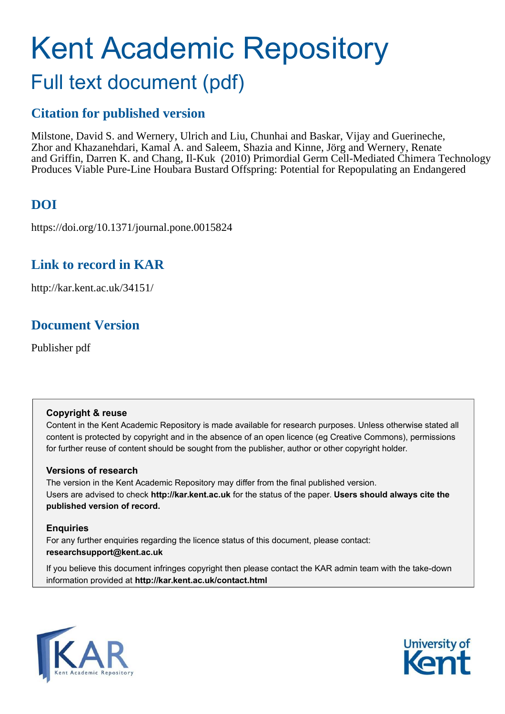# Kent Academic Repository

# Full text document (pdf)

# **Citation for published version**

Milstone, David S. and Wernery, Ulrich and Liu, Chunhai and Baskar, Vijay and Guerineche, Zhor and Khazanehdari, Kamal A. and Saleem, Shazia and Kinne, Jörg and Wernery, Renate and Griffin, Darren K. and Chang, Il-Kuk (2010) Primordial Germ Cell-Mediated Chimera Technology Produces Viable Pure-Line Houbara Bustard Offspring: Potential for Repopulating an Endangered

# **DOI**

https://doi.org/10.1371/journal.pone.0015824

# **Link to record in KAR**

http://kar.kent.ac.uk/34151/

# **Document Version**

Publisher pdf

#### **Copyright & reuse**

Content in the Kent Academic Repository is made available for research purposes. Unless otherwise stated all content is protected by copyright and in the absence of an open licence (eg Creative Commons), permissions for further reuse of content should be sought from the publisher, author or other copyright holder.

#### **Versions of research**

The version in the Kent Academic Repository may differ from the final published version. Users are advised to check **http://kar.kent.ac.uk** for the status of the paper. **Users should always cite the published version of record.**

#### **Enquiries**

For any further enquiries regarding the licence status of this document, please contact: **researchsupport@kent.ac.uk**

If you believe this document infringes copyright then please contact the KAR admin team with the take-down information provided at **http://kar.kent.ac.uk/contact.html**



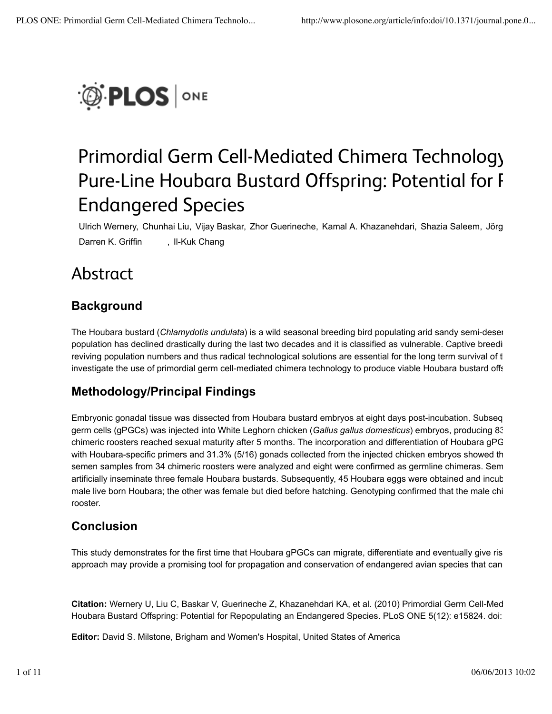

# Primordial Germ Cell-Mediated Chimera Technology Pure-Line Houbara Bustard Offspring: Potential for R Endangered Species

Ulrich Wernery, Chunhai Liu, Vijay Baskar, Zhor Guerineche, Kamal A. Khazanehdari, Shazia Saleem, Jörg K Darren K. Griffin , Il-Kuk Chang

# Abstract

# **Background**

The Houbara bustard (*Chlamydotis undulata*) is a wild seasonal breeding bird populating arid sandy semi-desert population has declined drastically during the last two decades and it is classified as vulnerable. Captive breeding reviving population numbers and thus radical technological solutions are essential for the long term survival of t investigate the use of primordial germ cell-mediated chimera technology to produce viable Houbara bustard offs

# **Methodology/Principal Findings**

Embryonic gonadal tissue was dissected from Houbara bustard embryos at eight days post-incubation. Subseque germ cells (gPGCs) was injected into White Leghorn chicken (*Gallus gallus domesticus*) embryos, producing 83/1 chimeric roosters reached sexual maturity after 5 months. The incorporation and differentiation of Houbara gPG with Houbara-specific primers and 31.3% (5/16) gonads collected from the injected chicken embryos showed the semen samples from 34 chimeric roosters were analyzed and eight were confirmed as germline chimeras. Sem artificially inseminate three female Houbara bustards. Subsequently, 45 Houbara eggs were obtained and incuba male live born Houbara; the other was female but died before hatching. Genotyping confirmed that the male chi rooster.

#### **Conclusion**

This study demonstrates for the first time that Houbara gPGCs can migrate, differentiate and eventually give rise approach may provide a promising tool for propagation and conservation of endangered avian species that can

**Citation:** Wernery U, Liu C, Baskar V, Guerineche Z, Khazanehdari KA, et al. (2010) Primordial Germ Cell-Media Houbara Bustard Offspring: Potential for Repopulating an Endangered Species. PLoS ONE 5(12): e15824. doi:

**Editor:** David S. Milstone, Brigham and Women's Hospital, United States of America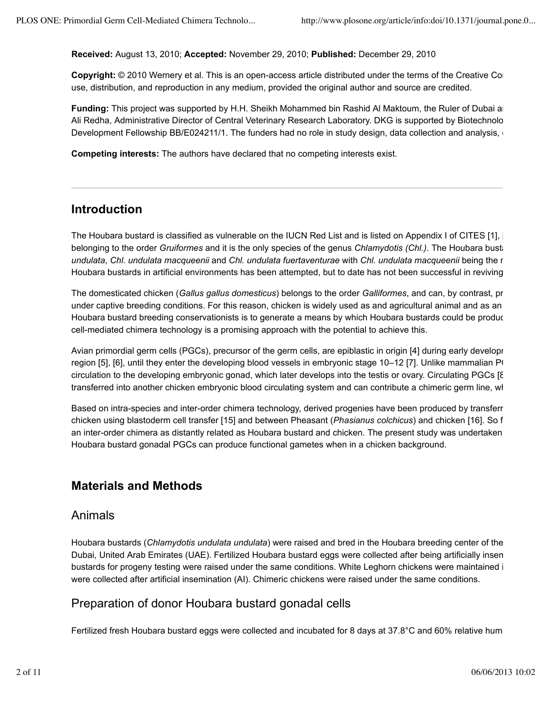**Received:** August 13, 2010; **Accepted:** November 29, 2010; **Published:** December 29, 2010

**Copyright:** © 2010 Wernery et al. This is an open-access article distributed under the terms of the Creative Com use, distribution, and reproduction in any medium, provided the original author and source are credited.

**Funding:** This project was supported by H.H. Sheikh Mohammed bin Rashid Al Maktoum, the Ruler of Dubai and Ali Redha, Administrative Director of Central Veterinary Research Laboratory. DKG is supported by Biotechnology Development Fellowship BB/E024211/1. The funders had no role in study design, data collection and analysis,

**Competing interests:** The authors have declared that no competing interests exist.

#### **Introduction**

The Houbara bustard is classified as vulnerable on the IUCN Red List and is listed on Appendix I of CITES [1], [2] belonging to the order *Gruiformes* and it is the only species of the genus *Chlamydotis (Chl.)*. The Houbara bustare *undulata*, *Chl. undulata macqueenii* and *Chl. undulata fuertaventurae* with *Chl. undulata macqueenii* being the ma Houbara bustards in artificial environments has been attempted, but to date has not been successful in reviving p

The domesticated chicken (Gallus gallus domesticus) belongs to the order Galliformes, and can, by contrast, pr under captive breeding conditions. For this reason, chicken is widely used as and agricultural animal and as an Houbara bustard breeding conservationists is to generate a means by which Houbara bustards could be produc cell-mediated chimera technology is a promising approach with the potential to achieve this.

Avian primordial germ cells (PGCs), precursor of the germ cells, are epiblastic in origin [4] during early developr region [5], [6], until they enter the developing blood vessels in embryonic stage 10–12 [7]. Unlike mammalian  $P($ circulation to the developing embryonic gonad, which later develops into the testis or ovary. Circulating PGCs [8] transferred into another chicken embryonic blood circulating system and can contribute a chimeric germ line, wh

Based on intra-species and inter-order chimera technology, derived progenies have been produced by transferring chicken using blastoderm cell transfer [15] and between Pheasant (*Phasianus colchicus*) and chicken [16]. So far an inter-order chimera as distantly related as Houbara bustard and chicken. The present study was undertaken Houbara bustard gonadal PGCs can produce functional gametes when in a chicken background.

#### **Materials and Methods**

#### Animals

Houbara bustards (*Chlamydotis undulata undulata*) were raised and bred in the Houbara breeding center of the Dubai, United Arab Emirates (UAE). Fertilized Houbara bustard eggs were collected after being artificially insen bustards for progeny testing were raised under the same conditions. White Leghorn chickens were maintained in were collected after artificial insemination (AI). Chimeric chickens were raised under the same conditions.

#### Preparation of donor Houbara bustard gonadal cells

Fertilized fresh Houbara bustard eggs were collected and incubated for 8 days at 37.8°C and 60% relative hum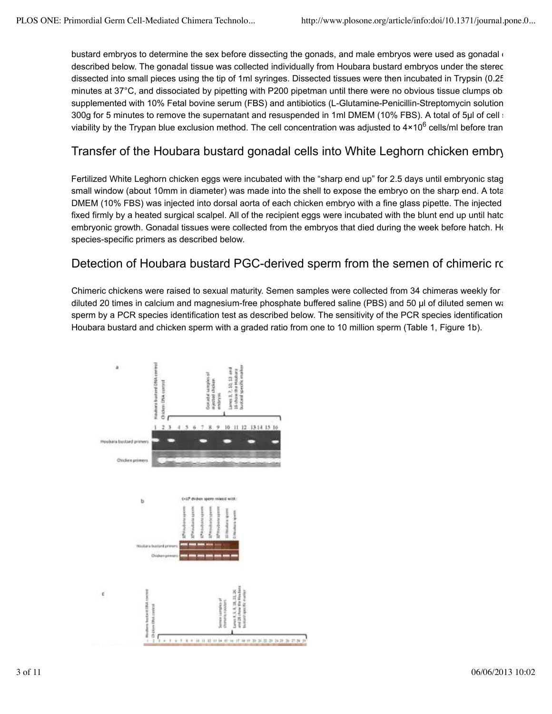bustard embryos to determine the sex before dissecting the gonads, and male embryos were used as gonadal do described below. The gonadal tissue was collected individually from Houbara bustard embryos under the stered dissected into small pieces using the tip of 1ml syringes. Dissected tissues were then incubated in Trypsin (0.25% minutes at 37°C, and dissociated by pipetting with P200 pipetman until there were no obvious tissue clumps ob supplemented with 10% Fetal bovine serum (FBS) and antibiotics (L-Glutamine-Penicillin-Streptomycin solution 300g for 5 minutes to remove the supernatant and resuspended in 1ml DMEM (10% FBS). A total of 5µl of cell sub viability by the Trypan blue exclusion method. The cell concentration was adjusted to 4×10<sup>6</sup> cells/ml before tran

# Transfer of the Houbara bustard gonadal cells into White Leghorn chicken embry

Fertilized White Leghorn chicken eggs were incubated with the "sharp end up" for 2.5 days until embryonic stag small window (about 10mm in diameter) was made into the shell to expose the embryo on the sharp end. A total DMEM (10% FBS) was injected into dorsal aorta of each chicken embryo with a fine glass pipette. The injected fixed firmly by a heated surgical scalpel. All of the recipient eggs were incubated with the blunt end up until hatch. embryonic growth. Gonadal tissues were collected from the embryos that died during the week before hatch. Hour species-specific primers as described below.

#### Detection of Houbara bustard PGC-derived sperm from the semen of chimeric roor

Chimeric chickens were raised to sexual maturity. Semen samples were collected from 34 chimeras weekly for a diluted 20 times in calcium and magnesium-free phosphate buffered saline (PBS) and 50 µl of diluted semen was sperm by a PCR species identification test as described below. The sensitivity of the PCR species identification Houbara bustard and chicken sperm with a graded ratio from one to 10 million sperm (Table 1, Figure 1b).

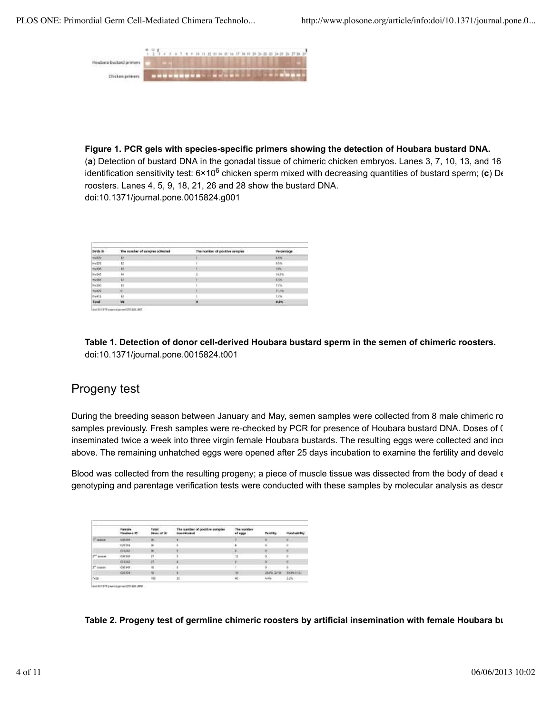PLOS ONE: Primordial Germ Cell-Mediated Chimera Technolo... http://www.plosone.org/article/info:doi/10.1371/journal.pone.0...



**Figure 1. PCR gels with species-specific primers showing the detection of Houbara bustard DNA.**

(a) Detection of bustard DNA in the gonadal tissue of chimeric chicken embryos. Lanes 3, 7, 10, 13, and 16 identification sensitivity test: 6×10<sup>6</sup> chicken sperm mixed with decreasing quantities of bustard sperm; (**c**) D∈ roosters. Lanes 4, 5, 9, 18, 21, 26 and 28 show the bustard DNA. doi:10.1371/journal.pone.0015824.g001

|              | The number of sangies collected | The nomber of positive remples | Percentings |
|--------------|---------------------------------|--------------------------------|-------------|
|              | $\frac{1}{2}$                   |                                | 8.8%        |
|              | 12                              |                                | 63%         |
|              | $\frac{1}{2}$                   |                                | ios.        |
|              | $\overline{14}$                 |                                | 14.9%       |
|              | $\overline{12}$                 |                                | 6.96        |
|              | $\overline{1}$                  |                                | 77%         |
|              |                                 |                                | <b>How</b>  |
|              | u                               |                                | Li%         |
| <b>Taxal</b> | w                               |                                | 9,5%        |

**Table 1. Detection of donor cell-derived Houbara bustard sperm in the semen of chimeric roosters.** doi:10.1371/journal.pone.0015824.t001

# Progeny test

During the breeding season between January and May, semen samples were collected from 8 male chimeric ro samples previously. Fresh samples were re-checked by PCR for presence of Houbara bustard DNA. Doses of ( inseminated twice a week into three virgin female Houbara bustards. The resulting eggs were collected and incu above. The remaining unhatched eggs were opened after 25 days incubation to examine the fertility and develo

Blood was collected from the resulting progeny; a piece of muscle tissue was dissected from the body of dead  $\epsilon$ genotyping and parentage verification tests were conducted with these samples by molecular analysis as describ

|                          | Female<br>Healtast ID | Turcal | The sumber of gosttive sunples<br><b>Insurant-salesti</b> | The inaridaer<br>of eggs. |               |           |
|--------------------------|-----------------------|--------|-----------------------------------------------------------|---------------------------|---------------|-----------|
| <b>Address</b><br>$\sim$ | 3331119               |        |                                                           |                           |               | ٠         |
|                          | $-200118$             | ×      |                                                           |                           | ú.            | u         |
|                          | <b>YELLU</b>          | ж      |                                                           | э                         | $\frac{1}{2}$ | ×         |
| <b>HIGHER</b>            | YOUTABL               | 21     |                                                           |                           | ö.            | ĸ         |
|                          | 394342                | Π      |                                                           |                           | N             |           |
| ×<br>" remote            | 008148                |        | ٠                                                         |                           |               |           |
|                          | 1001134               |        | 1191                                                      |                           | 20041218      | 300% H181 |
| 75cbB                    |                       | ш      | 33                                                        | 41                        | A.MAL         | 1.24      |

**Table 2. Progeny test of germline chimeric roosters by artificial insemination with female Houbara bus**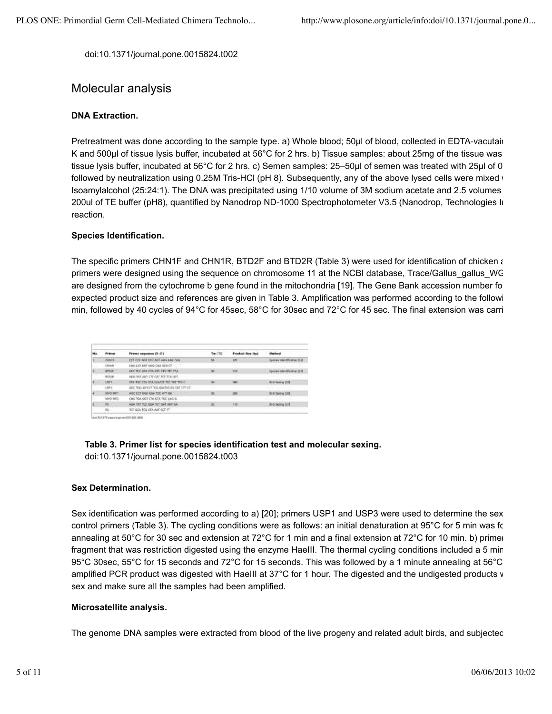doi:10.1371/journal.pone.0015824.t002

#### Molecular analysis

#### **DNA Extraction.**

Pretreatment was done according to the sample type. a) Whole blood; 50µl of blood, collected in EDTA-vacutain K and 500µl of tissue lysis buffer, incubated at 56°C for 2 hrs. b) Tissue samples: about 25mg of the tissue was tissue lysis buffer, incubated at 56°C for 2 hrs. c) Semen samples: 25–50µl of semen was treated with 25µl of 0.2 followed by neutralization using 0.25M Tris-HCl (pH 8). Subsequently, any of the above lysed cells were mixed with Isoamylalcohol (25:24:1). The DNA was precipitated using 1/10 volume of 3M sodium acetate and 2.5 volumes 200ul of TE buffer (pH8), quantified by Nanodrop ND-1000 Spectrophotometer V3.5 (Nanodrop, Technologies In reaction.

#### **Species Identification.**

The specific primers CHN1F and CHN1R, BTD2F and BTD2R (Table 3) were used for identification of chicken and primers were designed using the sequence on chromosome 11 at the NCBI database, Trace/Gallus\_gallus\_WG are designed from the cytochrome b gene found in the mitochondria [19]. The Gene Bank accession number for expected product size and references are given in Table 3. Amplification was performed according to the followi min, followed by 40 cycles of 94°C for 45sec, 58°C for 30sec and 72°C for 45 sec. The final extension was carri

|  | <b>Printed</b> | Fremi seguene (5 -5 )                              | Twill \$3 | Frederick New York                                                                                                                                                                                                                          | <b>Detector</b>                 |
|--|----------------|----------------------------------------------------|-----------|---------------------------------------------------------------------------------------------------------------------------------------------------------------------------------------------------------------------------------------------|---------------------------------|
|  | <b>TAR1F</b>   | EST CIX, ANT EIX, ANT AAG AAG MAL                  | u.        | 211<br><b>The Contract of the Contract of the Contract of the Contract of the Contract of the Contract of The Contract of The Contract of The Contract of The Contract of The Contract of The Contract of The Contract of The Contract </b> | ADM SMANDSVARIAL TEM            |
|  | <b>DAM</b>     | EAR CAT BAT (699 CGA STS CF)                       |           |                                                                                                                                                                                                                                             |                                 |
|  | ATC/IF         | DEC TEL: 074 CTA GTC CTS TEL: 116                  |           | m                                                                                                                                                                                                                                           | laws are international and 1946 |
|  | <b>RTTOR</b>   | DEE: NET ART FTT CAT FEE TIE OTT                   |           |                                                                                                                                                                                                                                             |                                 |
|  | <b>ARPY</b>    | CTA THE CTA DIA GAAST TOCTAT TOLET                 |           | $\overline{\phantom{a}}$                                                                                                                                                                                                                    | <b>HFM 1300</b>                 |
|  | 18P5           | ABC TOO AITICIT TOA GUATICITY ON TIT CT.           |           | YÛ.                                                                                                                                                                                                                                         |                                 |
|  | MYO BITS       | <b>CALL AND THE</b><br>ARE CET GGA GGA TOC ATT OC- |           | 289                                                                                                                                                                                                                                         | <b>Brit Severa 1206</b>         |
|  | kero artu      | CAS TOA GOT CTA GTA TEC AAG 6.                     |           | w<br>$\sim$                                                                                                                                                                                                                                 |                                 |
|  | m              | AGA TAT TOO GOA TOT GAT AGT GA                     | w         | <b>YEI</b>                                                                                                                                                                                                                                  | <b>Birt Seving 121</b>          |
|  | 鞍.             | TOT GON TOG CTA ANT CCT TT                         |           |                                                                                                                                                                                                                                             |                                 |

dox/01/271/paintigates/07/1224-380

#### **Table 3. Primer list for species identification test and molecular sexing.** doi:10.1371/journal.pone.0015824.t003

#### **Sex Determination.**

Sex identification was performed according to a) [20]; primers USP1 and USP3 were used to determine the sex control primers (Table 3). The cycling conditions were as follows: an initial denaturation at 95°C for 5 min was for annealing at 50°C for 30 sec and extension at 72°C for 1 min and a final extension at 72°C for 10 min. b) primer fragment that was restriction digested using the enzyme HaeIII. The thermal cycling conditions included a 5 min 95°C 30sec, 55°C for 15 seconds and 72°C for 15 seconds. This was followed by a 1 minute annealing at 56°C a amplified PCR product was digested with HaeIII at 37°C for 1 hour. The digested and the undigested products v sex and make sure all the samples had been amplified.

#### **Microsatellite analysis.**

The genome DNA samples were extracted from blood of the live progeny and related adult birds, and subjected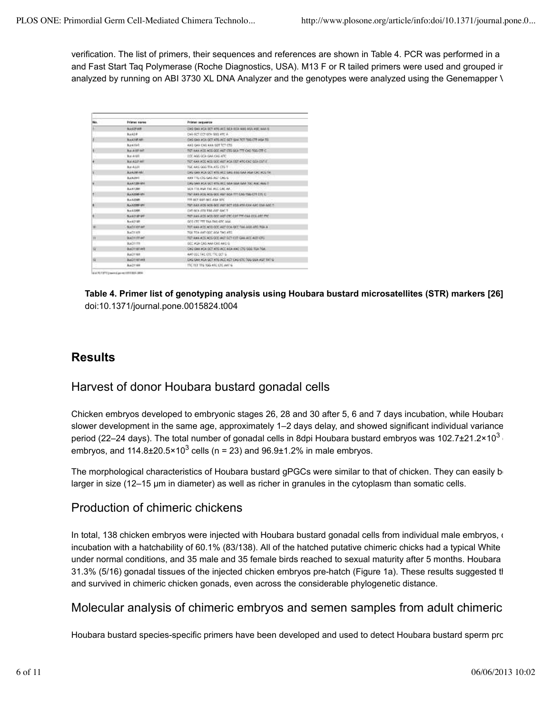verification. The list of primers, their sequences and references are shown in Table 4. PCR was performed in a 12 and Fast Start Tag Polymerase (Roche Diagnostics, USA). M13 F or R tailed primers were used and grouped in analyzed by running on ABI 3730 XL DNA Analyzer and the genotypes were analyzed using the Genemapper \

| Ho.                     | <b>Friener name</b>  | Primet inquiritie                                      |
|-------------------------|----------------------|--------------------------------------------------------|
|                         | BASYAR.              | CAG GAS WOU SET ATE ACT GEN BICK AND AILS AND GAS O    |
|                         | Buck2-R              | EAA GET EET 67A 1893 VIT. A                            |
|                         | <b>BULKTURARE</b>    | CAG GAA AGA GCT ATE ACE GCT GAA TCT TWE CTT AGA TS     |
|                         | <b>Business</b>      | KAG GAN CAG ARA GOT TITL CTG.                          |
|                         | <b>But A SSTART</b>  | TAST WAN ADS ACCIDED AIST CTS SEX TTT CAS TOS CTT C.   |
|                         | But Arall,           | THE MAIL GOA GAA CAL ARE                               |
|                         | <b>But ASSTART</b>   | TOT WAS ADD ADD BOT AGT AGAINST ATC CAS GEN SATIST     |
|                         | But 4-2.24           | TIGC WAS GOD TOA ATG STE T.                            |
|                         | <b>BULK/MEMAL</b>    | ENGINEER WOULD ATTEND SING ASSISTED ASK CASTAS TA      |
|                         | <b>BULK DARK</b>     | <b>WANTISTERS GAS AGE CAN G.</b>                       |
|                         | <b>BANTINGANI</b>    | LIKE SAN ACA GCT WITH ACC SAN EARL DAR TOC ADDITIONS T |
|                         | <b>BULK120H</b>      | SEA TIA WAS THE REC CAL AR.                            |
|                         | BLANDSON-MAIL        | TIGT ANN ACG ACG GCC AGT GCA TIT LING YORK CITEETE C.  |
|                         | Bus 8,30-BK          | TIT GCT GOT OCT ASA STC                                |
|                         | <b>BLAZODI MA</b>    | for AAN ADS NOS GOD ANT GOT ADS VISUALS ARE CAN ARE TO |
|                         | B-A 5300R            | CAT DEA 470 T58 ARP 6ACT                               |
|                         | <b>BASTER M</b>      | from AAA ACO ACO GCC AGE CBC CAR THE CAA DOU ABC FRO   |
|                         | Box 821201           | GOS CRE TIT TAN THE OTC AAA.                           |
|                         | <b>Build Walt</b>    | TOT WAS ACCUMENTABLE AND FOLLOGY, TALLAND AND TOALS.   |
|                         | Business and         | TOA TEX ANT GOT AGA TAG ATT.                           |
|                         | Build 177 and        | TOT ANN ADD ACCIDED ACT GET CITY CAN ACC ACT CITY.     |
|                         | Building Co.         | THREE WILL CAR ANALYSIS AND G.                         |
| u                       | <b>Boich Winasto</b> | LONG GAN ACA GCT AT GIACCIAEA AND CTG SOG TEA TOA.     |
|                         | Build Fresh          | ANY COC TAX KTK TRI DOT G.                             |
| $\overline{\mathbf{u}}$ | <b>BOOTHERN</b>      | DAG GAN ADA GOT ATG ACC ACT CAS CTC TWG SUA AST TAT G- |
|                         | Big 21169            | THE TOT THE YES ARE CHE ANY IS                         |

and St 1971 to see a due on other tool data

**Table 4. Primer list of genotyping analysis using Houbara bustard microsatellites (STR) markers [26].** doi:10.1371/journal.pone.0015824.t004

### **Results**

#### Harvest of donor Houbara bustard gonadal cells

Chicken embryos developed to embryonic stages 26, 28 and 30 after 5, 6 and 7 days incubation, while Houbara b slower development in the same age, approximately 1–2 days delay, and showed significant individual variance period (22–24 days). The total number of gonadal cells in 8dpi Houbara bustard embryos was 102.7±21.2×10 $^3$  c embryos, and 114.8±20.5×10<sup>3</sup> cells (n = 23) and 96.9±1.2% in male embryos.

The morphological characteristics of Houbara bustard gPGCs were similar to that of chicken. They can easily be larger in size (12–15 µm in diameter) as well as richer in granules in the cytoplasm than somatic cells.

#### Production of chimeric chickens

In total, 138 chicken embryos were injected with Houbara bustard gonadal cells from individual male embryos, our incubation with a hatchability of 60.1% (83/138). All of the hatched putative chimeric chicks had a typical White under normal conditions, and 35 male and 35 female birds reached to sexual maturity after 5 months. Houbara 31.3% (5/16) gonadal tissues of the injected chicken embryos pre-hatch (Figure 1a). These results suggested th and survived in chimeric chicken gonads, even across the considerable phylogenetic distance.

#### Molecular analysis of chimeric embryos and semen samples from adult chimeric

Houbara bustard species-specific primers have been developed and used to detect Houbara bustard sperm pro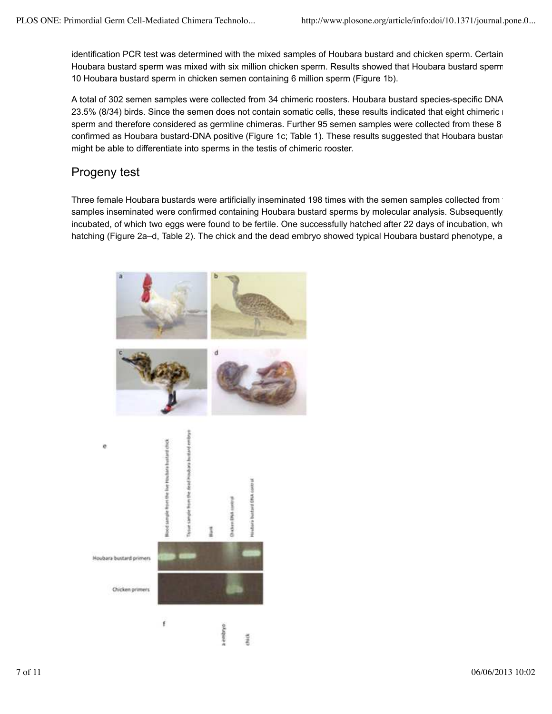identification PCR test was determined with the mixed samples of Houbara bustard and chicken sperm. Certain Houbara bustard sperm was mixed with six million chicken sperm. Results showed that Houbara bustard sperm co 10 Houbara bustard sperm in chicken semen containing 6 million sperm (Figure 1b).

A total of 302 semen samples were collected from 34 chimeric roosters. Houbara bustard species-specific DNA 23.5% (8/34) birds. Since the semen does not contain somatic cells, these results indicated that eight chimeric r sperm and therefore considered as germline chimeras. Further 95 semen samples were collected from these 8 confirmed as Houbara bustard-DNA positive (Figure 1c; Table 1). These results suggested that Houbara bustar might be able to differentiate into sperms in the testis of chimeric rooster.

# Progeny test

Three female Houbara bustards were artificially inseminated 198 times with the semen samples collected from the samples inseminated were confirmed containing Houbara bustard sperms by molecular analysis. Subsequently incubated, of which two eggs were found to be fertile. One successfully hatched after 22 days of incubation, wh hatching (Figure 2a–d, Table 2). The chick and the dead embryo showed typical Houbara bustard phenotype, al

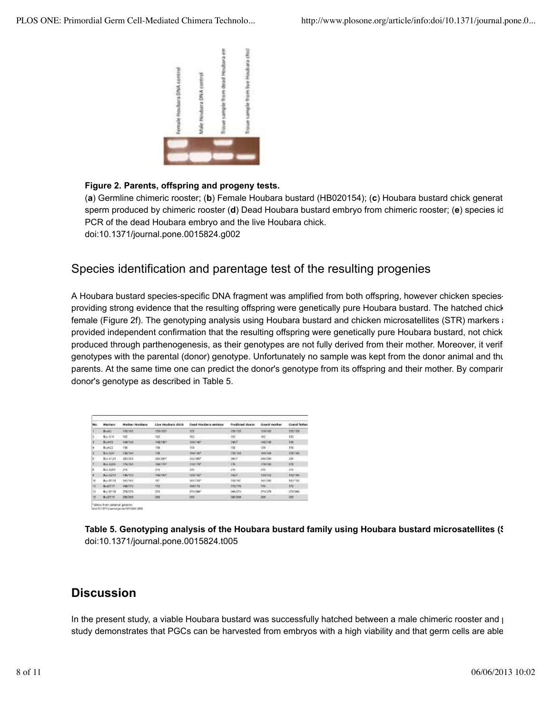

#### **Figure 2. Parents, offspring and progeny tests.**

(a) Germline chimeric rooster; (b) Female Houbara bustard (HB020154); (c) Houbara bustard chick generat sperm produced by chimeric rooster (**d**) Dead Houbara bustard embryo from chimeric rooster; (**e**) species ide PCR of the dead Houbara embryo and the live Houbara chick. doi:10.1371/journal.pone.0015824.g002

#### Species identification and parentage test of the resulting progenies

A Houbara bustard species-specific DNA fragment was amplified from both offspring, however chicken speciesproviding strong evidence that the resulting offspring were genetically pure Houbara bustard. The hatched chick w female (Figure 2f). The genotyping analysis using Houbara bustard and chicken microsatellites (STR) markers also provided independent confirmation that the resulting offspring were genetically pure Houbara bustard, not chick produced through parthenogenesis, as their genotypes are not fully derived from their mother. Moreover, it verif genotypes with the parental (donor) genotype. Unfortunately no sample was kept from the donor animal and thus parents. At the same time one can predict the donor's genotype from its offspring and their mother. By comparing donor's genotype as described in Table 5.

| <b>Ido</b> | <b>Misricars</b>   | Marthur Houbans | Live Hockers drick | <b>Oxial Houtests instance</b> | <b>Predicted doesn</b> | Great mother     | Grand futbox   |
|------------|--------------------|-----------------|--------------------|--------------------------------|------------------------|------------------|----------------|
|            | Bust2.             | <b>ENSTAK</b>   | its/to-            | 335                            | <b>HAVINE</b>          | <b>USSTAF</b>    | 155736         |
|            | 84, 778            | 182             | WZ.                | 362                            | 187                    | W2               | H <sub>2</sub> |
|            | <b>Biskith</b>     | 144/145         | <b>LUCCARE</b>     | <b>Lucian L</b>                | 1467                   | <b>LARCY ARE</b> | HH.            |
| Ŀ          | BLAK2Z             | <b>HACT</b>     | 158.00             | 158                            | 158                    | 158 %            | 156            |
|            | <b>BLOCK</b>       | <b>ESKYNN</b>   | <b>158</b>         | HAYTAN <sup>4</sup>            | <b>ASAFINA</b>         | \$53,154         | 156-air        |
|            | <b>B.a. A: 25</b>  | <b>HEATHER</b>  | <b>HASSING</b>     | 1002001                        | zan/c                  | blocker.         | im.            |
|            | <b>But Array</b>   | <b>UNITED</b>   | <b>NAVIGY</b>      | skichter.                      | 181                    | 174190           | $+78$          |
| ı          | BLA A205           | ine.            | 416                | 256                            | 2001.                  | 286 .            | 379            |
|            | Box 7419           | 146/122         | 146/1421           | sout-kim-                      | <b>HAV</b>             | 199703           | 153746         |
| 30         | <b>B.c. IT!!!!</b> | 163/MW          | 14h                | <b>MATTER</b>                  | taxnet                 | <b>METION</b>    | <b>HOTBE</b>   |
|            | Buildist:          | 188,TITE        | tra                | Mart 73                        | <b>ITATTIN</b>         | TTH <sub>1</sub> | $173 -$        |
| <b>IN</b>  | <b>Big D118</b>    | 204/278         | <b>IN</b>          | 111/1997                       | <b>INVEST</b>          | 216/278          | <b>CT47ME</b>  |
|            | <b>Buddhi</b>      | dias.           | 349                | 34B                            | <b>GATINE</b>          | 300              | <b>MO</b>      |

Talleles from patente geoponi.<br>Anchi fatti poenzi personata per

Table 5. Genotyping analysis of the Houbara bustard family using Houbara bustard microsatellites (§ doi:10.1371/journal.pone.0015824.t005

#### **Discussion**

In the present study, a viable Houbara bustard was successfully hatched between a male chimeric rooster and pu study demonstrates that PGCs can be harvested from embryos with a high viability and that germ cells are able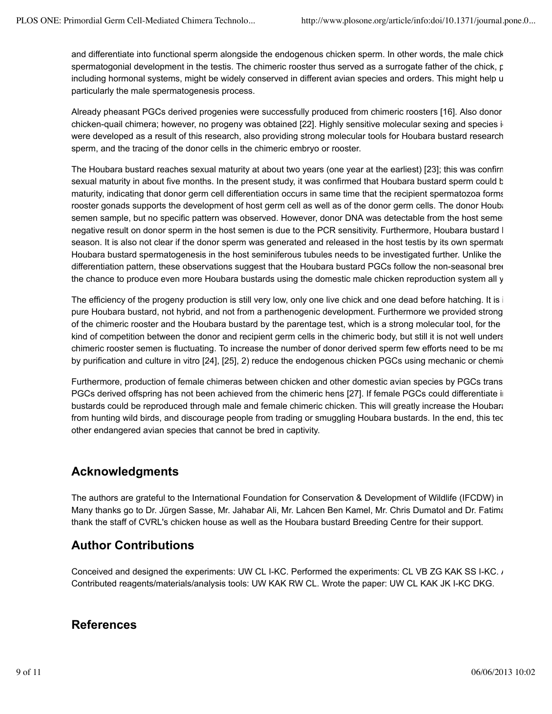and differentiate into functional sperm alongside the endogenous chicken sperm. In other words, the male chick spermatogonial development in the testis. The chimeric rooster thus served as a surrogate father of the chick, p including hormonal systems, might be widely conserved in different avian species and orders. This might help u particularly the male spermatogenesis process.

Already pheasant PGCs derived progenies were successfully produced from chimeric roosters [16]. Also donor ce chicken-quail chimera; however, no progeny was obtained [22]. Highly sensitive molecular sexing and species i were developed as a result of this research, also providing strong molecular tools for Houbara bustard research, i sperm, and the tracing of the donor cells in the chimeric embryo or rooster.

The Houbara bustard reaches sexual maturity at about two years (one year at the earliest) [23]; this was confirme sexual maturity in about five months. In the present study, it was confirmed that Houbara bustard sperm could b maturity, indicating that donor germ cell differentiation occurs in same time that the recipient spermatozoa forms. rooster gonads supports the development of host germ cell as well as of the donor germ cells. The donor Houbar semen sample, but no specific pattern was observed. However, donor DNA was detectable from the host seme negative result on donor sperm in the host semen is due to the PCR sensitivity. Furthermore, Houbara bustard I season. It is also not clear if the donor sperm was generated and released in the host testis by its own spermate Houbara bustard spermatogenesis in the host seminiferous tubules needs to be investigated further. Unlike the differentiation pattern, these observations suggest that the Houbara bustard PGCs follow the non-seasonal bree the chance to produce even more Houbara bustards using the domestic male chicken reproduction system all y

The efficiency of the progeny production is still very low, only one live chick and one dead before hatching. It is impure Houbara bustard, not hybrid, and not from a parthenogenic development. Furthermore we provided strong of the chimeric rooster and the Houbara bustard by the parentage test, which is a strong molecular tool, for the fir kind of competition between the donor and recipient germ cells in the chimeric body, but still it is not well unders chimeric rooster semen is fluctuating. To increase the number of donor derived sperm few efforts need to be ma by purification and culture in vitro [24], [25], 2) reduce the endogenous chicken PGCs using mechanic or chemid

Furthermore, production of female chimeras between chicken and other domestic avian species by PGCs trans PGCs derived offspring has not been achieved from the chimeric hens [27]. If female PGCs could differentiate in bustards could be reproduced through male and female chimeric chicken. This will greatly increase the Houbara from hunting wild birds, and discourage people from trading or smuggling Houbara bustards. In the end, this tech other endangered avian species that cannot be bred in captivity.

# **Acknowledgments**

The authors are grateful to the International Foundation for Conservation & Development of Wildlife (IFCDW) in A Many thanks go to Dr. Jürgen Sasse, Mr. Jahabar Ali, Mr. Lahcen Ben Kamel, Mr. Chris Dumatol and Dr. Fatima thank the staff of CVRL's chicken house as well as the Houbara bustard Breeding Centre for their support.

# **Author Contributions**

Conceived and designed the experiments: UW CL I-KC. Performed the experiments: CL VB ZG KAK SS I-KC. Ann and the experiments: CL VB ZG KAK SS I-KC. Ann and the experiments: CL VB ZG KAK SS I-KC. Ann and the experiments: CL Contributed reagents/materials/analysis tools: UW KAK RW CL. Wrote the paper: UW CL KAK JK I-KC DKG.

#### **References**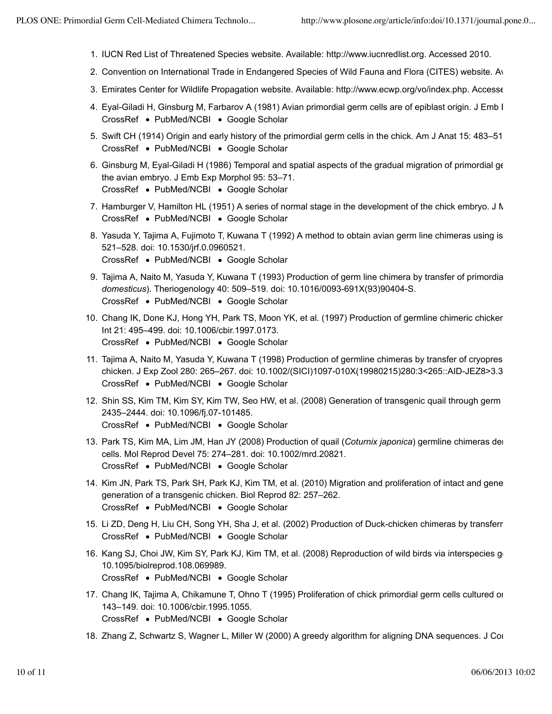- 1. IUCN Red List of Threatened Species website. Available: http://www.iucnredlist.org. Accessed 2010.
- 2. Convention on International Trade in Endangered Species of Wild Fauna and Flora (CITES) website. Av
- 3. Emirates Center for Wildlife Propagation website. Available: http://www.ecwp.org/vo/index.php. Accesse
- 4. Eyal-Giladi H, Ginsburg M, Farbarov A (1981) Avian primordial germ cells are of epiblast origin. J Emb I CrossRef • PubMed/NCBI • Google Scholar
- 5. Swift CH (1914) Origin and early history of the primordial germ cells in the chick. Am J Anat 15: 483–516. CrossRef • PubMed/NCBI • Google Scholar
- 6. Ginsburg M, Eyal-Giladi H (1986) Temporal and spatial aspects of the gradual migration of primordial g $\epsilon$ CrossRef • PubMed/NCBI • Google Scholar the avian embryo. J Emb Exp Morphol 95: 53–71.
- 7. Hamburger V, Hamilton HL (1951) A series of normal stage in the development of the chick embryo. J N CrossRef • PubMed/NCBI • Google Scholar
- 8. Yasuda Y, Tajima A, Fujimoto T, Kuwana T (1992) A method to obtain avian germ line chimeras using is CrossRef • PubMed/NCBI • Google Scholar 521–528. doi: 10.1530/jrf.0.0960521.
- 9. Tajima A, Naito M, Yasuda Y, Kuwana T (1993) Production of germ line chimera by transfer of primordial g CrossRef • PubMed/NCBI • Google Scholar *domesticus*). Theriogenology 40: 509–519. doi: 10.1016/0093-691X(93)90404-S.
- 10. Chang IK, Done KJ, Hong YH, Park TS, Moon YK, et al. (1997) Production of germline chimeric chickens CrossRef • PubMed/NCBI • Google Scholar Int 21: 495–499. doi: 10.1006/cbir.1997.0173.
- 11. Tajima A, Naito M, Yasuda Y, Kuwana T (1998) Production of germline chimeras by transfer of cryopres CrossRef • PubMed/NCBI • Google Scholar chicken. J Exp Zool 280: 265–267. doi: 10.1002/(SICI)1097-010X(19980215)280:3<265::AID-JEZ8>3.3.C
- 12. Shin SS, Kim TM, Kim SY, Kim TW, Seo HW, et al. (2008) Generation of transgenic quail through germ ce CrossRef • PubMed/NCBI • Google Scholar 2435–2444. doi: 10.1096/fj.07-101485.
- 13. Park TS, Kim MA, Lim JM, Han JY (2008) Production of quail (*Coturnix japonica*) germline chimeras der CrossRef • PubMed/NCBI • Google Scholar cells. Mol Reprod Devel 75: 274–281. doi: 10.1002/mrd.20821.
- 14. Kim JN, Park TS, Park SH, Park KJ, Kim TM, et al. (2010) Migration and proliferation of intact and gene CrossRef • PubMed/NCBI • Google Scholar generation of a transgenic chicken. Biol Reprod 82: 257–262.
- 15. Li ZD, Deng H, Liu CH, Song YH, Sha J, et al. (2002) Production of Duck-chicken chimeras by transferr CrossRef • PubMed/NCBI • Google Scholar
- 16. Kang SJ, Choi JW, Kim SY, Park KJ, Kim TM, et al. (2008) Reproduction of wild birds via interspecies ger CrossRef • PubMed/NCBI • Google Scholar 10.1095/biolreprod.108.069989.
- 17. Chang IK, Tajima A, Chikamune T, Ohno T (1995) Proliferation of chick primordial germ cells cultured on CrossRef • PubMed/NCBI • Google Scholar 143–149. doi: 10.1006/cbir.1995.1055.
- 18. Zhang Z, Schwartz S, Wagner L, Miller W (2000) A greedy algorithm for aligning DNA sequences. J Cor